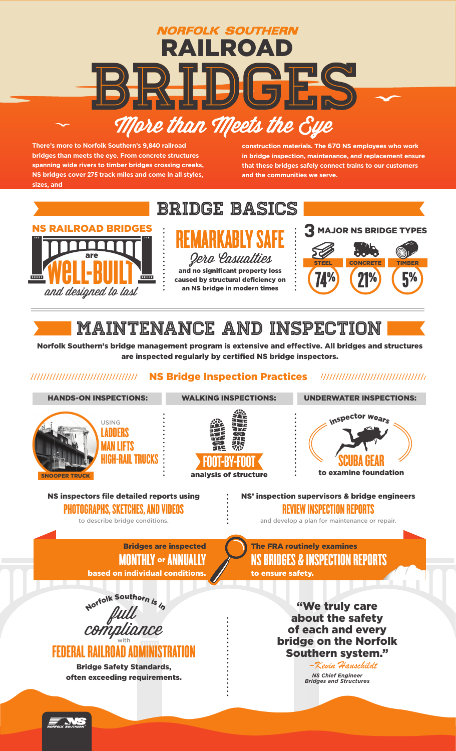

**There's more to Norfolk Southern's 9,840 railroad bridges than meets the eye. From concrete structures spanning wide rivers to timber bridges crossing creeks, NS bridges cover 275 track miles and come in all styles, sizes, and** 

**construction materials. The 670 NS employees who work in bridge inspection, maintenance, and replacement ensure that these bridges safely connect trains to our customers and the communities we serve.**



## MAINTENANCE AND INSPECTION

Norfolk Southern's bridge management program is extensive and effective. All bridges and structures are inspected regularly by certified NS bridge inspectors.

#### NS Bridge Inspection Practices